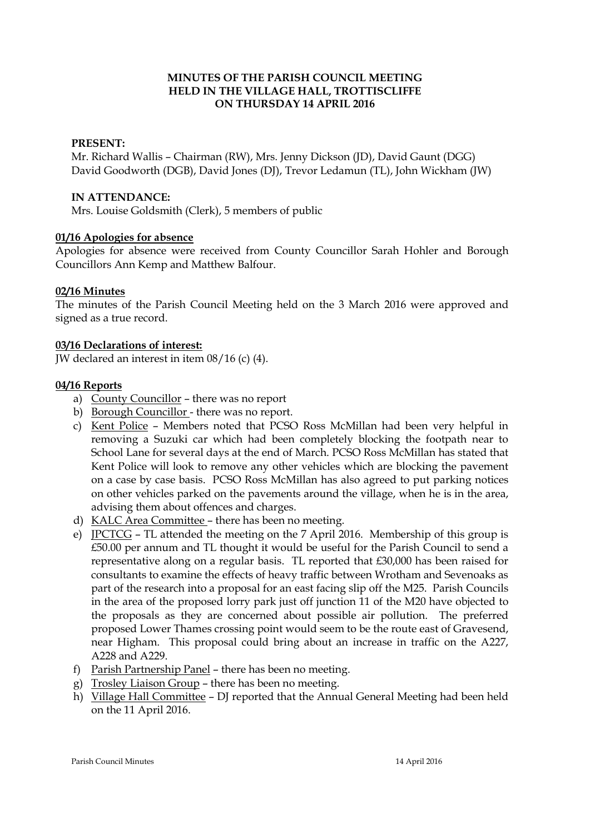# **MINUTES OF THE PARISH COUNCIL MEETING HELD IN THE VILLAGE HALL, TROTTISCLIFFE ON THURSDAY 14 APRIL 2016**

# **PRESENT:**

Mr. Richard Wallis – Chairman (RW), Mrs. Jenny Dickson (JD), David Gaunt (DGG) David Goodworth (DGB), David Jones (DJ), Trevor Ledamun (TL), John Wickham (JW)

### **IN ATTENDANCE:**

Mrs. Louise Goldsmith (Clerk), 5 members of public

# **01/16 Apologies for absence**

Apologies for absence were received from County Councillor Sarah Hohler and Borough Councillors Ann Kemp and Matthew Balfour.

# **02/16 Minutes**

The minutes of the Parish Council Meeting held on the 3 March 2016 were approved and signed as a true record.

# **03/16 Declarations of interest:**

JW declared an interest in item 08/16 (c) (4).

# **04/16 Reports**

- a) County Councillor there was no report
- b) Borough Councillor there was no report.
- c) Kent Police Members noted that PCSO Ross McMillan had been very helpful in removing a Suzuki car which had been completely blocking the footpath near to School Lane for several days at the end of March. PCSO Ross McMillan has stated that Kent Police will look to remove any other vehicles which are blocking the pavement on a case by case basis. PCSO Ross McMillan has also agreed to put parking notices on other vehicles parked on the pavements around the village, when he is in the area, advising them about offences and charges.
- d) KALC Area Committee there has been no meeting.
- e) JPCTCG TL attended the meeting on the 7 April 2016. Membership of this group is £50.00 per annum and TL thought it would be useful for the Parish Council to send a representative along on a regular basis. TL reported that £30,000 has been raised for consultants to examine the effects of heavy traffic between Wrotham and Sevenoaks as part of the research into a proposal for an east facing slip off the M25. Parish Councils in the area of the proposed lorry park just off junction 11 of the M20 have objected to the proposals as they are concerned about possible air pollution. The preferred proposed Lower Thames crossing point would seem to be the route east of Gravesend, near Higham. This proposal could bring about an increase in traffic on the A227, A228 and A229.
- f) Parish Partnership Panel there has been no meeting.
- g) Trosley Liaison Group there has been no meeting.
- h) Village Hall Committee DJ reported that the Annual General Meeting had been held on the 11 April 2016.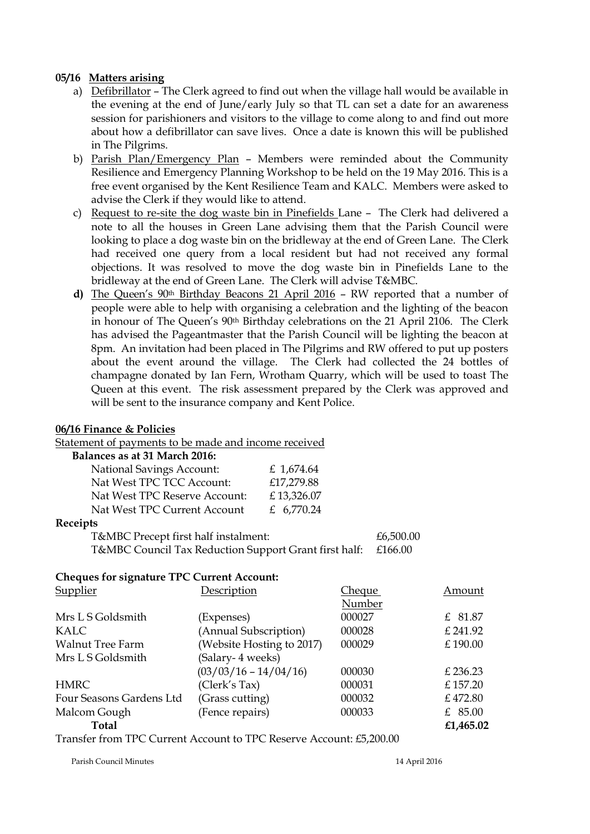# **05/16 Matters arising**

- a) Defibrillator The Clerk agreed to find out when the village hall would be available in the evening at the end of June/early July so that TL can set a date for an awareness session for parishioners and visitors to the village to come along to and find out more about how a defibrillator can save lives. Once a date is known this will be published in The Pilgrims.
- b) Parish Plan/Emergency Plan Members were reminded about the Community Resilience and Emergency Planning Workshop to be held on the 19 May 2016. This is a free event organised by the Kent Resilience Team and KALC. Members were asked to advise the Clerk if they would like to attend.
- c) Request to re-site the dog waste bin in Pinefields Lane The Clerk had delivered a note to all the houses in Green Lane advising them that the Parish Council were looking to place a dog waste bin on the bridleway at the end of Green Lane. The Clerk had received one query from a local resident but had not received any formal objections. It was resolved to move the dog waste bin in Pinefields Lane to the bridleway at the end of Green Lane. The Clerk will advise T&MBC.
- **d)** The Queen's 90th Birthday Beacons 21 April 2016 RW reported that a number of people were able to help with organising a celebration and the lighting of the beacon in honour of The Queen's 90th Birthday celebrations on the 21 April 2106. The Clerk has advised the Pageantmaster that the Parish Council will be lighting the beacon at 8pm. An invitation had been placed in The Pilgrims and RW offered to put up posters about the event around the village. The Clerk had collected the 24 bottles of champagne donated by Ian Fern, Wrotham Quarry, which will be used to toast The Queen at this event. The risk assessment prepared by the Clerk was approved and will be sent to the insurance company and Kent Police.

### **06/16 Finance & Policies**

Statement of payments to be made and income received

#### **Balances as at 31 March 2016:**

| £ 1,674.64 |
|------------|
| £17,279.88 |
| £13,326.07 |
| £ 6,770.24 |
|            |

#### **Receipts**

T&MBC Precept first half instalment:  $£6,500.00$ T&MBC Council Tax Reduction Support Grant first half: £166.00

#### **Cheques for signature TPC Current Account:**

| Supplier                 | Description               | Cheque | Amount    |
|--------------------------|---------------------------|--------|-----------|
|                          |                           | Number |           |
| Mrs L S Goldsmith        | (Expenses)                | 000027 | £ 81.87   |
| KALC                     | (Annual Subscription)     | 000028 | £ 241.92  |
| <b>Walnut Tree Farm</b>  | (Website Hosting to 2017) | 000029 | £190.00   |
| Mrs L S Goldsmith        | (Salary- 4 weeks)         |        |           |
|                          | $(03/03/16 - 14/04/16)$   | 000030 | £236.23   |
| <b>HMRC</b>              | (Clerk's Tax)             | 000031 | £157.20   |
| Four Seasons Gardens Ltd | (Grass cutting)           | 000032 | £472.80   |
| Malcom Gough             | (Fence repairs)           | 000033 | £ $85.00$ |
| <b>Total</b>             |                           |        | £1,465.02 |

Transfer from TPC Current Account to TPC Reserve Account: £5,200.00

Parish Council Minutes 14 April 2016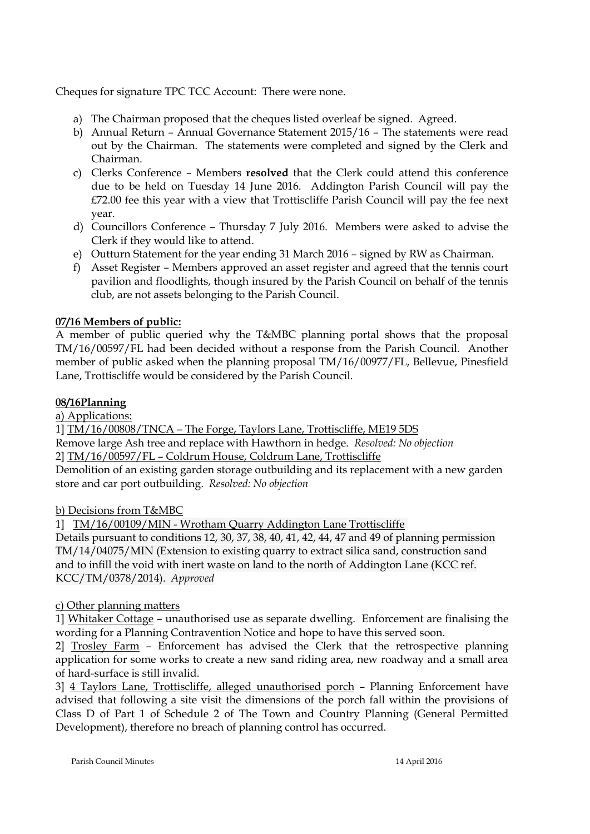Cheques for signature TPC TCC Account: There were none.

- a) The Chairman proposed that the cheques listed overleaf be signed. Agreed.
- b) Annual Return Annual Governance Statement 2015/16 The statements were read out by the Chairman. The statements were completed and signed by the Clerk and Chairman.
- c) Clerks Conference Members **resolved** that the Clerk could attend this conference due to be held on Tuesday 14 June 2016. Addington Parish Council will pay the £72.00 fee this year with a view that Trottiscliffe Parish Council will pay the fee next year.
- d) Councillors Conference Thursday 7 July 2016. Members were asked to advise the Clerk if they would like to attend.
- e) Outturn Statement for the year ending 31 March 2016 signed by RW as Chairman.
- f) Asset Register Members approved an asset register and agreed that the tennis court pavilion and floodlights, though insured by the Parish Council on behalf of the tennis club, are not assets belonging to the Parish Council.

# **07/16 Members of public:**

A member of public queried why the T&MBC planning portal shows that the proposal TM/16/00597/FL had been decided without a response from the Parish Council. Another member of public asked when the planning proposal TM/16/00977/FL, Bellevue, Pinesfield Lane, Trottiscliffe would be considered by the Parish Council.

# **08/16Planning**

a) Applications:

1] TM/16/00808/TNCA – The Forge, Taylors Lane, Trottiscliffe, ME19 5DS Remove large Ash tree and replace with Hawthorn in hedge. *Resolved: No objection* 2] TM/16/00597/FL – Coldrum House, Coldrum Lane, Trottiscliffe

Demolition of an existing garden storage outbuilding and its replacement with a new garden store and car port outbuilding. *Resolved: No objection*

# b) Decisions from T&MBC

1] TM/16/00109/MIN - Wrotham Quarry Addington Lane Trottiscliffe

Details pursuant to conditions 12, 30, 37, 38, 40, 41, 42, 44, 47 and 49 of planning permission TM/14/04075/MIN (Extension to existing quarry to extract silica sand, construction sand and to infill the void with inert waste on land to the north of Addington Lane (KCC ref. KCC/TM/0378/2014). *Approved*

# c) Other planning matters

1] Whitaker Cottage – unauthorised use as separate dwelling. Enforcement are finalising the wording for a Planning Contravention Notice and hope to have this served soon.

2] Trosley Farm – Enforcement has advised the Clerk that the retrospective planning application for some works to create a new sand riding area, new roadway and a small area of hard-surface is still invalid.

3] 4 Taylors Lane, Trottiscliffe, alleged unauthorised porch – Planning Enforcement have advised that following a site visit the dimensions of the porch fall within the provisions of Class D of Part 1 of Schedule 2 of The Town and Country Planning (General Permitted Development), therefore no breach of planning control has occurred.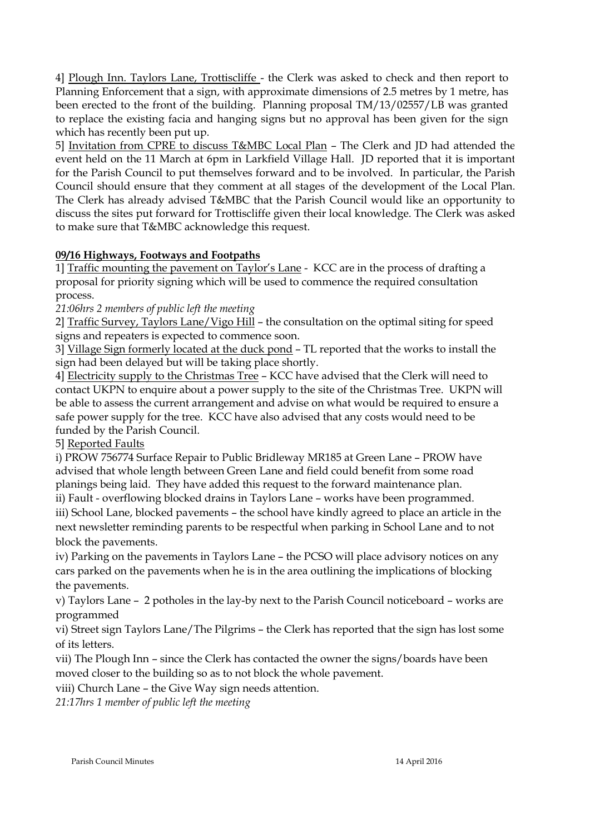4] Plough Inn. Taylors Lane, Trottiscliffe - the Clerk was asked to check and then report to Planning Enforcement that a sign, with approximate dimensions of 2.5 metres by 1 metre, has been erected to the front of the building. Planning proposal TM/13/02557/LB was granted to replace the existing facia and hanging signs but no approval has been given for the sign which has recently been put up.

5] Invitation from CPRE to discuss T&MBC Local Plan – The Clerk and JD had attended the event held on the 11 March at 6pm in Larkfield Village Hall. JD reported that it is important for the Parish Council to put themselves forward and to be involved. In particular, the Parish Council should ensure that they comment at all stages of the development of the Local Plan. The Clerk has already advised T&MBC that the Parish Council would like an opportunity to discuss the sites put forward for Trottiscliffe given their local knowledge. The Clerk was asked to make sure that T&MBC acknowledge this request.

# **09/16 Highways, Footways and Footpaths**

1] Traffic mounting the pavement on Taylor's Lane - KCC are in the process of drafting a proposal for priority signing which will be used to commence the required consultation process.

*21:06hrs 2 members of public left the meeting*

2] Traffic Survey, Taylors Lane/Vigo Hill – the consultation on the optimal siting for speed signs and repeaters is expected to commence soon.

3] Village Sign formerly located at the duck pond – TL reported that the works to install the sign had been delayed but will be taking place shortly.

4] Electricity supply to the Christmas Tree – KCC have advised that the Clerk will need to contact UKPN to enquire about a power supply to the site of the Christmas Tree. UKPN will be able to assess the current arrangement and advise on what would be required to ensure a safe power supply for the tree. KCC have also advised that any costs would need to be funded by the Parish Council.

5] Reported Faults

i) PROW 756774 Surface Repair to Public Bridleway MR185 at Green Lane – PROW have advised that whole length between Green Lane and field could benefit from some road planings being laid. They have added this request to the forward maintenance plan.

ii) Fault - overflowing blocked drains in Taylors Lane – works have been programmed. iii) School Lane, blocked pavements – the school have kindly agreed to place an article in the next newsletter reminding parents to be respectful when parking in School Lane and to not block the pavements.

iv) Parking on the pavements in Taylors Lane – the PCSO will place advisory notices on any cars parked on the pavements when he is in the area outlining the implications of blocking the pavements.

v) Taylors Lane – 2 potholes in the lay-by next to the Parish Council noticeboard – works are programmed

vi) Street sign Taylors Lane/The Pilgrims – the Clerk has reported that the sign has lost some of its letters.

vii) The Plough Inn – since the Clerk has contacted the owner the signs/boards have been moved closer to the building so as to not block the whole pavement.

viii) Church Lane – the Give Way sign needs attention.

*21:17hrs 1 member of public left the meeting*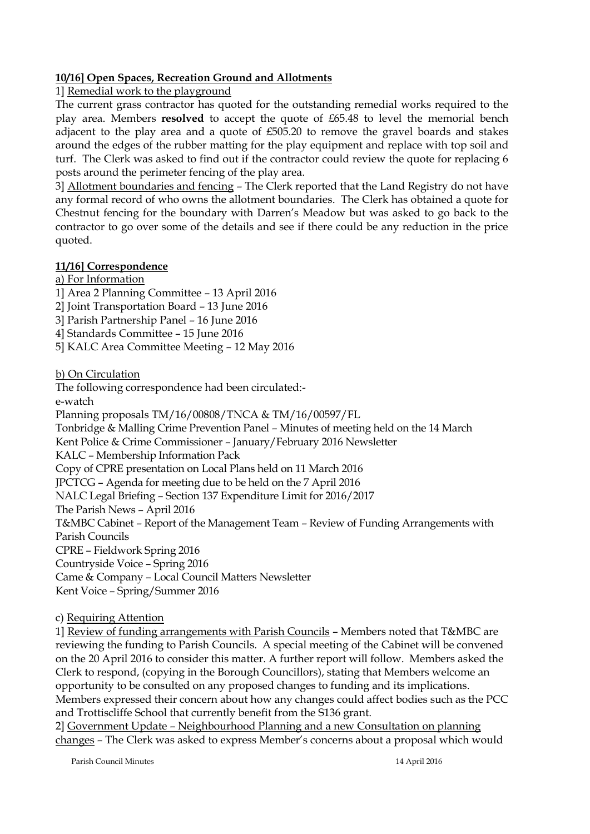# **10/16] Open Spaces, Recreation Ground and Allotments**

1] Remedial work to the playground

The current grass contractor has quoted for the outstanding remedial works required to the play area. Members **resolved** to accept the quote of £65.48 to level the memorial bench adjacent to the play area and a quote of £505.20 to remove the gravel boards and stakes around the edges of the rubber matting for the play equipment and replace with top soil and turf. The Clerk was asked to find out if the contractor could review the quote for replacing 6 posts around the perimeter fencing of the play area.

3] Allotment boundaries and fencing – The Clerk reported that the Land Registry do not have any formal record of who owns the allotment boundaries. The Clerk has obtained a quote for Chestnut fencing for the boundary with Darren's Meadow but was asked to go back to the contractor to go over some of the details and see if there could be any reduction in the price quoted.

# **11/16] Correspondence**

a) For Information

- 1] Area 2 Planning Committee 13 April 2016
- 2] Joint Transportation Board 13 June 2016
- 3] Parish Partnership Panel 16 June 2016
- 4] Standards Committee 15 June 2016
- 5] KALC Area Committee Meeting 12 May 2016

b) On Circulation

The following correspondence had been circulated:-

e-watch

Planning proposals TM/16/00808/TNCA & TM/16/00597/FL

Tonbridge & Malling Crime Prevention Panel – Minutes of meeting held on the 14 March

Kent Police & Crime Commissioner – January/February 2016 Newsletter

KALC – Membership Information Pack

Copy of CPRE presentation on Local Plans held on 11 March 2016

JPCTCG – Agenda for meeting due to be held on the 7 April 2016

NALC Legal Briefing – Section 137 Expenditure Limit for 2016/2017

The Parish News – April 2016

T&MBC Cabinet – Report of the Management Team – Review of Funding Arrangements with Parish Councils

CPRE – Fieldwork Spring 2016

Countryside Voice – Spring 2016

Came & Company – Local Council Matters Newsletter

Kent Voice – Spring/Summer 2016

c) Requiring Attention

1] Review of funding arrangements with Parish Councils – Members noted that T&MBC are reviewing the funding to Parish Councils. A special meeting of the Cabinet will be convened on the 20 April 2016 to consider this matter. A further report will follow. Members asked the Clerk to respond, (copying in the Borough Councillors), stating that Members welcome an opportunity to be consulted on any proposed changes to funding and its implications. Members expressed their concern about how any changes could affect bodies such as the PCC and Trottiscliffe School that currently benefit from the S136 grant.

2] Government Update – Neighbourhood Planning and a new Consultation on planning changes – The Clerk was asked to express Member's concerns about a proposal which would

Parish Council Minutes 14 April 2016